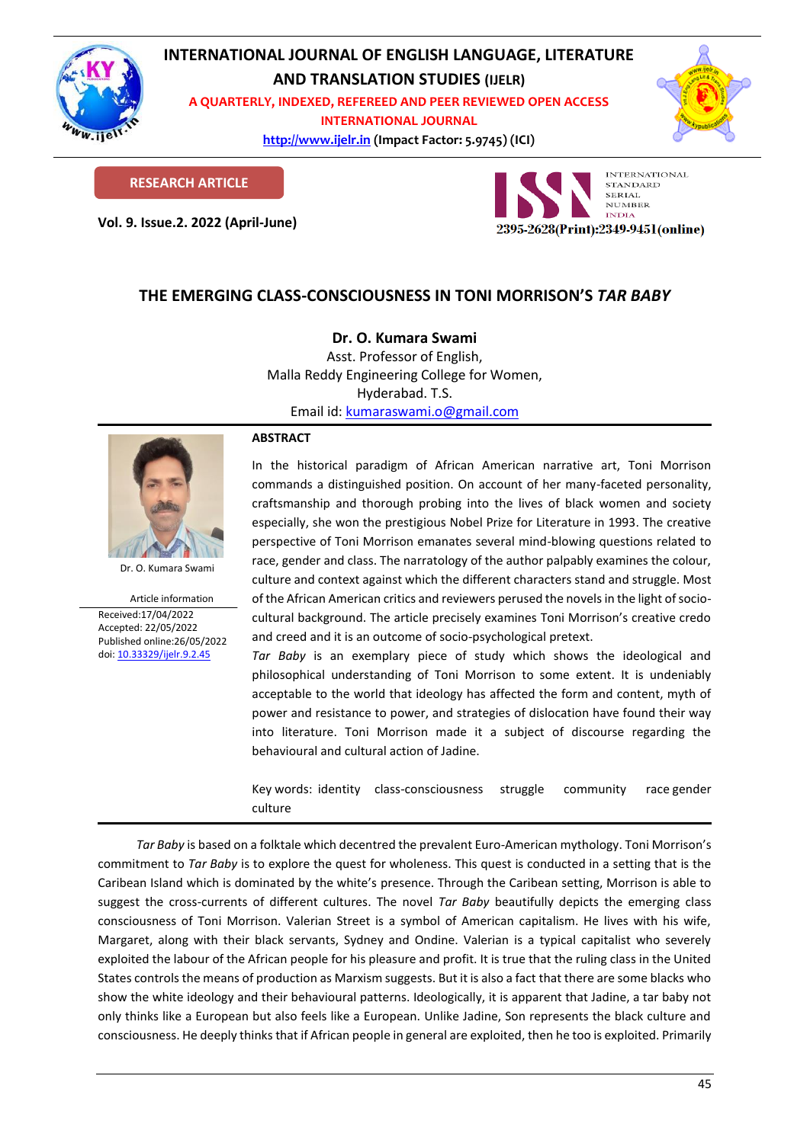

# **INTERNATIONAL JOURNAL OF ENGLISH LANGUAGE, LITERATURE AND TRANSLATION STUDIES (IJELR)**

**A QUARTERLY, INDEXED, REFEREED AND PEER REVIEWED OPEN ACCESS INTERNATIONAL JOURNAL**

> **[http://www.ijelr.in](http://www.ijelr.in/) (Impact Factor: 5.9745) (ICI) KY PUBLICATIONS**



**RESEARCH ARTICLE**

**Vol. 9. Issue.2. 2022 (April-June) ARTICLE**



# **THE EMERGING CLASS-CONSCIOUSNESS IN TONI MORRISON'S** *TAR BABY*

## **Dr. O. Kumara Swami**

Asst. Professor of English, Malla Reddy Engineering College for Women, Hyderabad. T.S. Email id: [kumaraswami.o@gmail.com](mailto:kumaraswami.o@gmail.com)



Dr. O. Kumara Swami

Article information Received:17/04/2022 Accepted: 22/05/2022 Published online:26/05/2022 [doi: 10.33329/ijelr.9.2.4](http://www.ijelr.in/)5

### **ABSTRACT**

In the historical paradigm of African American narrative art, Toni Morrison commands a distinguished position. On account of her many-faceted personality, craftsmanship and thorough probing into the lives of black women and society especially, she won the prestigious Nobel Prize for Literature in 1993. The creative perspective of Toni Morrison emanates several mind-blowing questions related to race, gender and class. The narratology of the author palpably examines the colour, culture and context against which the different characters stand and struggle. Most of the African American critics and reviewers perused the novels in the light of sociocultural background. The article precisely examines Toni Morrison's creative credo and creed and it is an outcome of socio-psychological pretext.

*Tar Baby* is an exemplary piece of study which shows the ideological and philosophical understanding of Toni Morrison to some extent. It is undeniably acceptable to the world that ideology has affected the form and content, myth of power and resistance to power, and strategies of dislocation have found their way into literature. Toni Morrison made it a subject of discourse regarding the behavioural and cultural action of Jadine.

Key words: identity class-consciousness struggle community race gender culture

*Tar Baby* is based on a folktale which decentred the prevalent Euro-American mythology. Toni Morrison's commitment to *Tar Baby* is to explore the quest for wholeness. This quest is conducted in a setting that is the Caribean Island which is dominated by the white's presence. Through the Caribean setting, Morrison is able to suggest the cross-currents of different cultures. The novel *Tar Baby* beautifully depicts the emerging class consciousness of Toni Morrison. Valerian Street is a symbol of American capitalism. He lives with his wife, Margaret, along with their black servants, Sydney and Ondine. Valerian is a typical capitalist who severely exploited the labour of the African people for his pleasure and profit. It is true that the ruling class in the United States controls the means of production as Marxism suggests. But it is also a fact that there are some blacks who show the white ideology and their behavioural patterns. Ideologically, it is apparent that Jadine, a tar baby not only thinks like a European but also feels like a European. Unlike Jadine, Son represents the black culture and consciousness. He deeply thinks that if African people in general are exploited, then he too is exploited. Primarily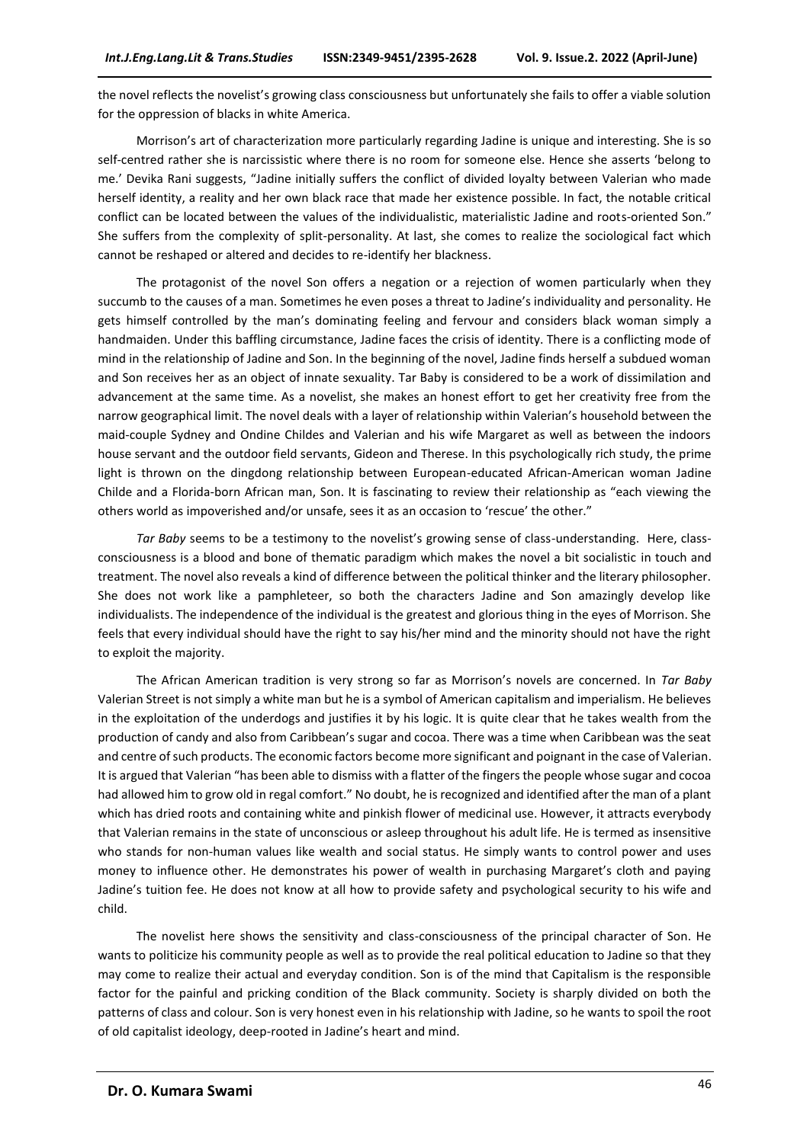the novel reflects the novelist's growing class consciousness but unfortunately she fails to offer a viable solution for the oppression of blacks in white America.

Morrison's art of characterization more particularly regarding Jadine is unique and interesting. She is so self-centred rather she is narcissistic where there is no room for someone else. Hence she asserts 'belong to me.' Devika Rani suggests, "Jadine initially suffers the conflict of divided loyalty between Valerian who made herself identity, a reality and her own black race that made her existence possible. In fact, the notable critical conflict can be located between the values of the individualistic, materialistic Jadine and roots-oriented Son." She suffers from the complexity of split-personality. At last, she comes to realize the sociological fact which cannot be reshaped or altered and decides to re-identify her blackness.

The protagonist of the novel Son offers a negation or a rejection of women particularly when they succumb to the causes of a man. Sometimes he even poses a threat to Jadine's individuality and personality. He gets himself controlled by the man's dominating feeling and fervour and considers black woman simply a handmaiden. Under this baffling circumstance, Jadine faces the crisis of identity. There is a conflicting mode of mind in the relationship of Jadine and Son. In the beginning of the novel, Jadine finds herself a subdued woman and Son receives her as an object of innate sexuality. Tar Baby is considered to be a work of dissimilation and advancement at the same time. As a novelist, she makes an honest effort to get her creativity free from the narrow geographical limit. The novel deals with a layer of relationship within Valerian's household between the maid-couple Sydney and Ondine Childes and Valerian and his wife Margaret as well as between the indoors house servant and the outdoor field servants, Gideon and Therese. In this psychologically rich study, the prime light is thrown on the dingdong relationship between European-educated African-American woman Jadine Childe and a Florida-born African man, Son. It is fascinating to review their relationship as "each viewing the others world as impoverished and/or unsafe, sees it as an occasion to 'rescue' the other."

*Tar Baby* seems to be a testimony to the novelist's growing sense of class-understanding. Here, classconsciousness is a blood and bone of thematic paradigm which makes the novel a bit socialistic in touch and treatment. The novel also reveals a kind of difference between the political thinker and the literary philosopher. She does not work like a pamphleteer, so both the characters Jadine and Son amazingly develop like individualists. The independence of the individual is the greatest and glorious thing in the eyes of Morrison. She feels that every individual should have the right to say his/her mind and the minority should not have the right to exploit the majority.

The African American tradition is very strong so far as Morrison's novels are concerned. In *Tar Baby* Valerian Street is not simply a white man but he is a symbol of American capitalism and imperialism. He believes in the exploitation of the underdogs and justifies it by his logic. It is quite clear that he takes wealth from the production of candy and also from Caribbean's sugar and cocoa. There was a time when Caribbean was the seat and centre of such products. The economic factors become more significant and poignant in the case of Valerian. It is argued that Valerian "has been able to dismiss with a flatter of the fingers the people whose sugar and cocoa had allowed him to grow old in regal comfort." No doubt, he is recognized and identified after the man of a plant which has dried roots and containing white and pinkish flower of medicinal use. However, it attracts everybody that Valerian remains in the state of unconscious or asleep throughout his adult life. He is termed as insensitive who stands for non-human values like wealth and social status. He simply wants to control power and uses money to influence other. He demonstrates his power of wealth in purchasing Margaret's cloth and paying Jadine's tuition fee. He does not know at all how to provide safety and psychological security to his wife and child.

The novelist here shows the sensitivity and class-consciousness of the principal character of Son. He wants to politicize his community people as well as to provide the real political education to Jadine so that they may come to realize their actual and everyday condition. Son is of the mind that Capitalism is the responsible factor for the painful and pricking condition of the Black community. Society is sharply divided on both the patterns of class and colour. Son is very honest even in his relationship with Jadine, so he wants to spoil the root of old capitalist ideology, deep-rooted in Jadine's heart and mind.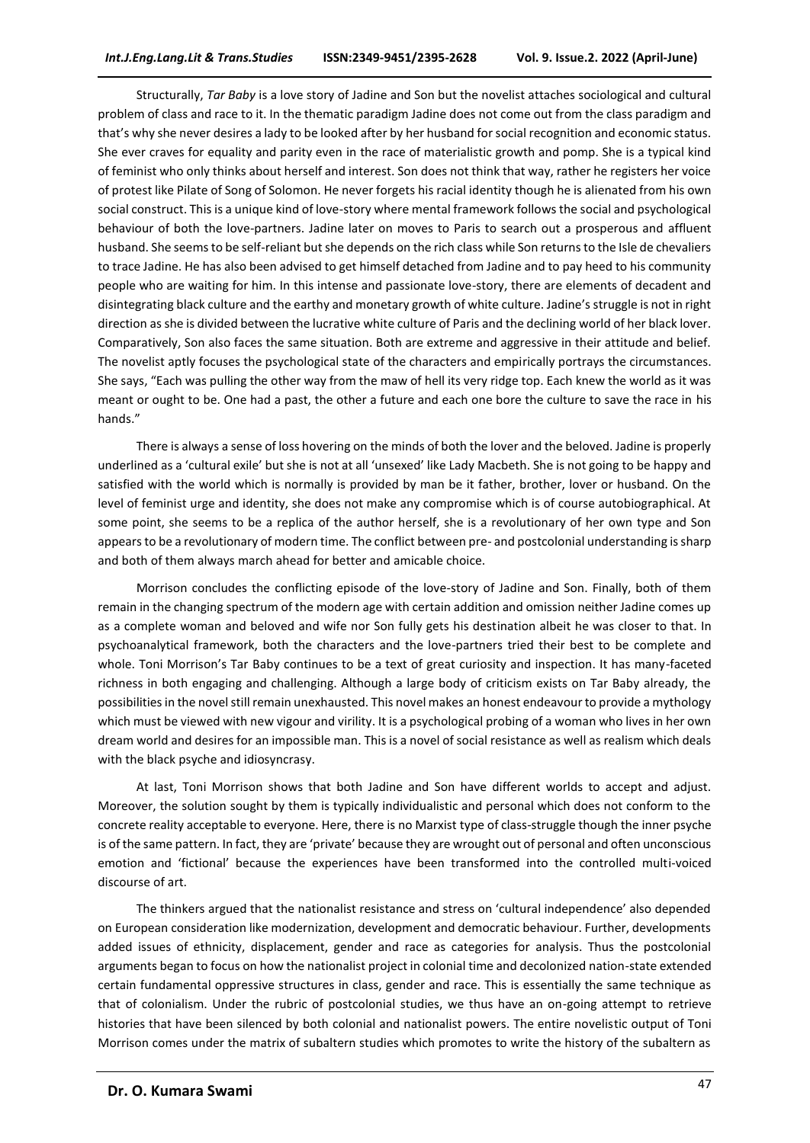Structurally, *Tar Baby* is a love story of Jadine and Son but the novelist attaches sociological and cultural problem of class and race to it. In the thematic paradigm Jadine does not come out from the class paradigm and that's why she never desires a lady to be looked after by her husband for social recognition and economic status. She ever craves for equality and parity even in the race of materialistic growth and pomp. She is a typical kind of feminist who only thinks about herself and interest. Son does not think that way, rather he registers her voice of protest like Pilate of Song of Solomon. He never forgets his racial identity though he is alienated from his own social construct. This is a unique kind of love-story where mental framework follows the social and psychological behaviour of both the love-partners. Jadine later on moves to Paris to search out a prosperous and affluent husband. She seems to be self-reliant but she depends on the rich class while Son returns to the Isle de chevaliers to trace Jadine. He has also been advised to get himself detached from Jadine and to pay heed to his community people who are waiting for him. In this intense and passionate love-story, there are elements of decadent and disintegrating black culture and the earthy and monetary growth of white culture. Jadine's struggle is not in right direction as she is divided between the lucrative white culture of Paris and the declining world of her black lover. Comparatively, Son also faces the same situation. Both are extreme and aggressive in their attitude and belief. The novelist aptly focuses the psychological state of the characters and empirically portrays the circumstances. She says, "Each was pulling the other way from the maw of hell its very ridge top. Each knew the world as it was meant or ought to be. One had a past, the other a future and each one bore the culture to save the race in his hands."

There is always a sense of loss hovering on the minds of both the lover and the beloved. Jadine is properly underlined as a 'cultural exile' but she is not at all 'unsexed' like Lady Macbeth. She is not going to be happy and satisfied with the world which is normally is provided by man be it father, brother, lover or husband. On the level of feminist urge and identity, she does not make any compromise which is of course autobiographical. At some point, she seems to be a replica of the author herself, she is a revolutionary of her own type and Son appears to be a revolutionary of modern time. The conflict between pre- and postcolonial understanding is sharp and both of them always march ahead for better and amicable choice.

Morrison concludes the conflicting episode of the love-story of Jadine and Son. Finally, both of them remain in the changing spectrum of the modern age with certain addition and omission neither Jadine comes up as a complete woman and beloved and wife nor Son fully gets his destination albeit he was closer to that. In psychoanalytical framework, both the characters and the love-partners tried their best to be complete and whole. Toni Morrison's Tar Baby continues to be a text of great curiosity and inspection. It has many-faceted richness in both engaging and challenging. Although a large body of criticism exists on Tar Baby already, the possibilities in the novel still remain unexhausted. This novel makes an honest endeavour to provide a mythology which must be viewed with new vigour and virility. It is a psychological probing of a woman who lives in her own dream world and desires for an impossible man. This is a novel of social resistance as well as realism which deals with the black psyche and idiosyncrasy.

At last, Toni Morrison shows that both Jadine and Son have different worlds to accept and adjust. Moreover, the solution sought by them is typically individualistic and personal which does not conform to the concrete reality acceptable to everyone. Here, there is no Marxist type of class-struggle though the inner psyche is of the same pattern. In fact, they are 'private' because they are wrought out of personal and often unconscious emotion and 'fictional' because the experiences have been transformed into the controlled multi-voiced discourse of art.

The thinkers argued that the nationalist resistance and stress on 'cultural independence' also depended on European consideration like modernization, development and democratic behaviour. Further, developments added issues of ethnicity, displacement, gender and race as categories for analysis. Thus the postcolonial arguments began to focus on how the nationalist project in colonial time and decolonized nation-state extended certain fundamental oppressive structures in class, gender and race. This is essentially the same technique as that of colonialism. Under the rubric of postcolonial studies, we thus have an on-going attempt to retrieve histories that have been silenced by both colonial and nationalist powers. The entire novelistic output of Toni Morrison comes under the matrix of subaltern studies which promotes to write the history of the subaltern as